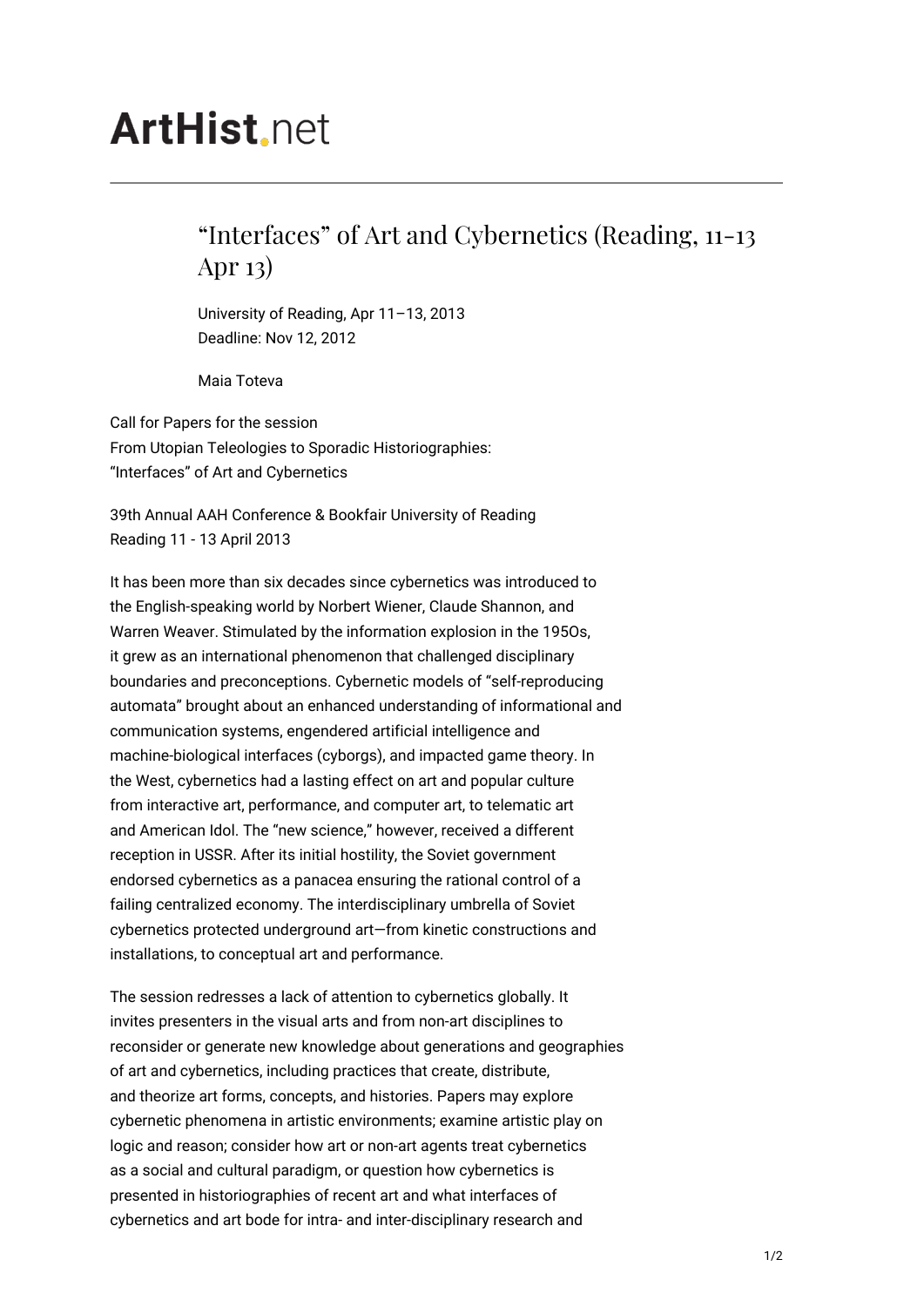## **ArtHist**, net

## "Interfaces" of Art and Cybernetics (Reading, 11-13 Apr 13)

University of Reading, Apr 11–13, 2013 Deadline: Nov 12, 2012

Maia Toteva

Call for Papers for the session From Utopian Teleologies to Sporadic Historiographies: "Interfaces" of Art and Cybernetics

39th Annual AAH Conference & Bookfair University of Reading Reading 11 - 13 April 2013

It has been more than six decades since cybernetics was introduced to the English-speaking world by Norbert Wiener, Claude Shannon, and Warren Weaver. Stimulated by the information explosion in the 195Os, it grew as an international phenomenon that challenged disciplinary boundaries and preconceptions. Cybernetic models of "self-reproducing automata" brought about an enhanced understanding of informational and communication systems, engendered artificial intelligence and machine-biological interfaces (cyborgs), and impacted game theory. In the West, cybernetics had a lasting effect on art and popular culture from interactive art, performance, and computer art, to telematic art and American Idol. The "new science," however, received a different reception in USSR. After its initial hostility, the Soviet government endorsed cybernetics as a panacea ensuring the rational control of a failing centralized economy. The interdisciplinary umbrella of Soviet cybernetics protected underground art—from kinetic constructions and installations, to conceptual art and performance.

The session redresses a lack of attention to cybernetics globally. It invites presenters in the visual arts and from non-art disciplines to reconsider or generate new knowledge about generations and geographies of art and cybernetics, including practices that create, distribute, and theorize art forms, concepts, and histories. Papers may explore cybernetic phenomena in artistic environments; examine artistic play on logic and reason; consider how art or non-art agents treat cybernetics as a social and cultural paradigm, or question how cybernetics is presented in historiographies of recent art and what interfaces of cybernetics and art bode for intra- and inter-disciplinary research and